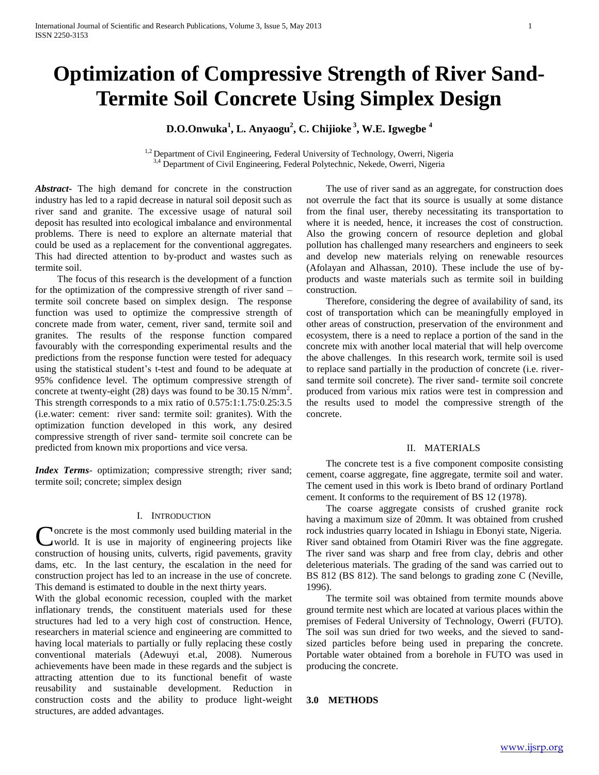# **Optimization of Compressive Strength of River Sand-Termite Soil Concrete Using Simplex Design**

# **D.O.Onwuka<sup>1</sup> , L. Anyaogu<sup>2</sup> , C. Chijioke <sup>3</sup> , W.E. Igwegbe <sup>4</sup>**

 $1,2$  Department of Civil Engineering, Federal University of Technology, Owerri, Nigeria <sup>3,4</sup> Department of Civil Engineering, Federal Polytechnic, Nekede, Owerri, Nigeria

*Abstract***-** The high demand for concrete in the construction industry has led to a rapid decrease in natural soil deposit such as river sand and granite. The excessive usage of natural soil deposit has resulted into ecological imbalance and environmental problems. There is need to explore an alternate material that could be used as a replacement for the conventional aggregates. This had directed attention to by-product and wastes such as termite soil.

 The focus of this research is the development of a function for the optimization of the compressive strength of river sand – termite soil concrete based on simplex design. The response function was used to optimize the compressive strength of concrete made from water, cement, river sand, termite soil and granites. The results of the response function compared favourably with the corresponding experimental results and the predictions from the response function were tested for adequacy using the statistical student's t-test and found to be adequate at 95% confidence level. The optimum compressive strength of concrete at twenty-eight (28) days was found to be  $30.15$  N/mm<sup>2</sup>. This strength corresponds to a mix ratio of 0.575:1:1.75:0.25:3.5 (i.e.water: cement: river sand: termite soil: granites). With the optimization function developed in this work, any desired compressive strength of river sand- termite soil concrete can be predicted from known mix proportions and vice versa.

*Index Terms*- optimization; compressive strength; river sand; termite soil; concrete; simplex design

#### I. INTRODUCTION

oncrete is the most commonly used building material in the world. It is use in majority of engineering projects like Concrete is the most commonly used building material in the world. It is use in majority of engineering projects like construction of housing units, culverts, rigid pavements, gravity dams, etc. In the last century, the escalation in the need for construction project has led to an increase in the use of concrete. This demand is estimated to double in the next thirty years.

With the global economic recession, coupled with the market inflationary trends, the constituent materials used for these structures had led to a very high cost of construction. Hence, researchers in material science and engineering are committed to having local materials to partially or fully replacing these costly conventional materials (Adewuyi et.al, 2008). Numerous achievements have been made in these regards and the subject is attracting attention due to its functional benefit of waste reusability and sustainable development. Reduction in construction costs and the ability to produce light-weight structures, are added advantages.

 The use of river sand as an aggregate, for construction does not overrule the fact that its source is usually at some distance from the final user, thereby necessitating its transportation to where it is needed, hence, it increases the cost of construction. Also the growing concern of resource depletion and global pollution has challenged many researchers and engineers to seek and develop new materials relying on renewable resources (Afolayan and Alhassan, 2010). These include the use of byproducts and waste materials such as termite soil in building construction.

 Therefore, considering the degree of availability of sand, its cost of transportation which can be meaningfully employed in other areas of construction, preservation of the environment and ecosystem, there is a need to replace a portion of the sand in the concrete mix with another local material that will help overcome the above challenges.In this research work, termite soil is used to replace sand partially in the production of concrete (i.e. riversand termite soil concrete). The river sand- termite soil concrete produced from various mix ratios were test in compression and the results used to model the compressive strength of the concrete.

#### II. MATERIALS

 The concrete test is a five component composite consisting cement, coarse aggregate, fine aggregate, termite soil and water. The cement used in this work is Ibeto brand of ordinary Portland cement. It conforms to the requirement of BS 12 (1978).

 The coarse aggregate consists of crushed granite rock having a maximum size of 20mm. It was obtained from crushed rock industries quarry located in Ishiagu in Ebonyi state, Nigeria. River sand obtained from Otamiri River was the fine aggregate. The river sand was sharp and free from clay, debris and other deleterious materials. The grading of the sand was carried out to BS 812 (BS 812). The sand belongs to grading zone C (Neville, 1996).

 The termite soil was obtained from termite mounds above ground termite nest which are located at various places within the premises of Federal University of Technology, Owerri (FUTO). The soil was sun dried for two weeks, and the sieved to sandsized particles before being used in preparing the concrete. Portable water obtained from a borehole in FUTO was used in producing the concrete.

#### **3.0 METHODS**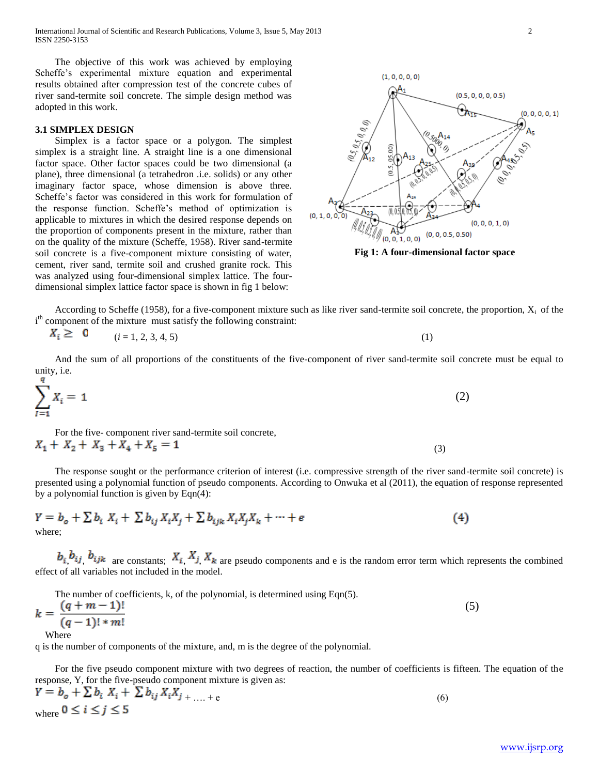International Journal of Scientific and Research Publications, Volume 3, Issue 5, May 2013 2 ISSN 2250-3153

 The objective of this work was achieved by employing Scheffe's experimental mixture equation and experimental results obtained after compression test of the concrete cubes of river sand-termite soil concrete. The simple design method was adopted in this work.

#### **3.1 SIMPLEX DESIGN**

 Simplex is a factor space or a polygon. The simplest simplex is a straight line. A straight line is a one dimensional factor space. Other factor spaces could be two dimensional (a plane), three dimensional (a tetrahedron .i.e. solids) or any other imaginary factor space, whose dimension is above three. Scheffe's factor was considered in this work for formulation of the response function. Scheffe's method of optimization is applicable to mixtures in which the desired response depends on the proportion of components present in the mixture, rather than on the quality of the mixture (Scheffe, 1958). River sand-termite soil concrete is a five-component mixture consisting of water, cement, river sand, termite soil and crushed granite rock. This was analyzed using four-dimensional simplex lattice. The fourdimensional simplex lattice factor space is shown in fig 1 below:





According to Scheffe (1958), for a five-component mixture such as like river sand-termite soil concrete, the proportion,  $X_i$  of the i<sup>th</sup> component of the mixture must satisfy the following constraint:

$$
X_i \geq 0 \qquad (i = 1, 2, 3, 4, 5) \tag{1}
$$

 And the sum of all proportions of the constituents of the five-component of river sand-termite soil concrete must be equal to unity, i.e.

$$
\sum_{i=1}^{3} X_i = 1 \tag{2}
$$

 For the five- component river sand-termite soil concrete,  $X_1 + X_2 + X_3 + X_4 + X_5 = 1$ (3)

 The response sought or the performance criterion of interest (i.e. compressive strength of the river sand-termite soil concrete) is presented using a polynomial function of pseudo components. According to Onwuka et al (2011), the equation of response represented by a polynomial function is given by Eqn(4):

$$
Y = b_o + \sum b_i X_i + \sum b_{ij} X_i X_j + \sum b_{ijk} X_i X_j X_k + \dots + e
$$
  
where; (4)

 $b_i$ ,  $b_{ij}$ ,  $b_{ijk}$  are constants;  $X_i$ ,  $X_j$ ,  $X_k$  are pseudo components and e is the random error term which represents the combined effect of all variables not included in the model.

 The number of coefficients, k, of the polynomial, is determined using Eqn(5).  $\ell = 1$ 

$$
k = \frac{(q+m-1)!}{(q-1)! * m!}
$$
 (5)

q is the number of components of the mixture, and, m is the degree of the polynomial.

 For the five pseudo component mixture with two degrees of reaction, the number of coefficients is fifteen. The equation of the response, Y, for the five-pseudo component mixture is given as:

$$
Y = b_o + \sum b_i X_i + \sum b_{ij} X_i X_{j + \dots + e}
$$
  
where  $0 \le i \le j \le 5$  (6)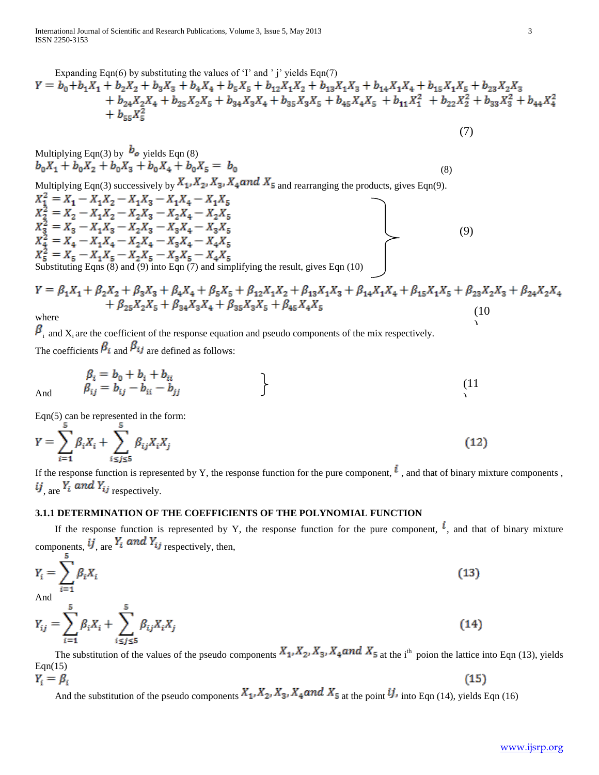International Journal of Scientific and Research Publications, Volume 3, Issue 5, May 2013 3 ISSN 2250-3153

Expanding Eqn(6) by substituting the values of 'T and 'j' yields Eqn(7)  
\n
$$
Y = b_0 + b_1 X_1 + b_2 X_2 + b_3 X_3 + b_4 X_4 + b_5 X_5 + b_{12} X_1 X_2 + b_{13} X_1 X_3 + b_{14} X_1 X_4 + b_{15} X_1 X_5 + b_{23} X_2 X_3 + b_{24} X_2 X_4 + b_{25} X_2 X_5 + b_{34} X_3 X_4 + b_{35} X_3 X_5 + b_{45} X_4 X_5 + b_{11} X_1^2 + b_{22} X_2^2 + b_{33} X_3^2 + b_{44} X_4^2 + b_{55} X_5^2
$$

Multiplying Eqn(3) by 
$$
b_o
$$
 yields Eqn (8)  
\n
$$
b_0X_1 + b_0X_2 + b_0X_3 + b_0X_4 + b_0X_5 = b_0
$$
\n(8)

Multiplying Eqn(3) successively by  $X_1, X_2, X_3, X_4$  and  $X_5$  and rearranging the products, gives Eqn(9). Substituting Eqns (8) and (9) into Eqn (7) and simplifying the result, gives Eqn (10) (9)

$$
Y = \beta_1 X_1 + \beta_2 X_2 + \beta_3 X_3 + \beta_4 X_4 + \beta_5 X_5 + \beta_{12} X_1 X_2 + \beta_{13} X_1 X_3 + \beta_{14} X_1 X_4 + \beta_{15} X_1 X_5 + \beta_{23} X_2 X_3 + \beta_{24} X_2 X_4 + \beta_{25} X_2 X_5 + \beta_{34} X_3 X_4 + \beta_{35} X_3 X_5 + \beta_{45} X_4 X_5
$$
\n(10)

where

And

 $\beta_i$  and  $X_i$  are the coefficient of the response equation and pseudo components of the mix respectively. The coefficients  $\beta_i$  and  $\beta_{ij}$  are defined as follows:

$$
\begin{aligned}\n\beta_i &= b_0 + b_i + b_{ii} \\
\beta_{ij} &= b_{ij} - b_{ii} - b_{jj}\n\end{aligned}\n\tag{11}
$$

Eqn(5) can be represented in the form:

$$
Y = \sum_{i=1}^{S} \beta_i X_i + \sum_{i \le j \le 5}^{S} \beta_{ij} X_i X_j
$$
 (12)

If the response function is represented by Y, the response function for the pure component,  $\dot{l}$ , and that of binary mixture components, ij are  $Y_i$  and  $Y_{ij}$  respectively.

# **3.1.1 DETERMINATION OF THE COEFFICIENTS OF THE POLYNOMIAL FUNCTION**

If the response function is represented by Y, the response function for the pure component,  $\vec{l}$ , and that of binary mixture components,  $\boldsymbol{i} \boldsymbol{j}$ , are  $\boldsymbol{Y}_i$  and  $\boldsymbol{Y}_{ij}$  respectively, then,

$$
Y_{i} = \sum_{i=1}^{5} \beta_{i} X_{i}
$$
  
And  

$$
Y_{ij} = \sum_{i=1}^{5} \beta_{i} X_{i} + \sum_{i \leq j \leq 5}^{5} \beta_{ij} X_{i} X_{j}
$$
 (14)

The substitution of the values of the pseudo components  $X_1, X_2, X_3, X_4$  and  $X_5$  at the i<sup>th</sup> poion the lattice into Eqn (13), yields  $Eqn(15)$ 

 $Y_i = \beta_i$  $(15)$ And the substitution of the pseudo components  $X_1, X_2, X_3, X_4$  and  $X_5$  at the point  $\mathcal{U}_1$ , into Eqn (14), yields Eqn (16)

 $\lambda$ 

(7)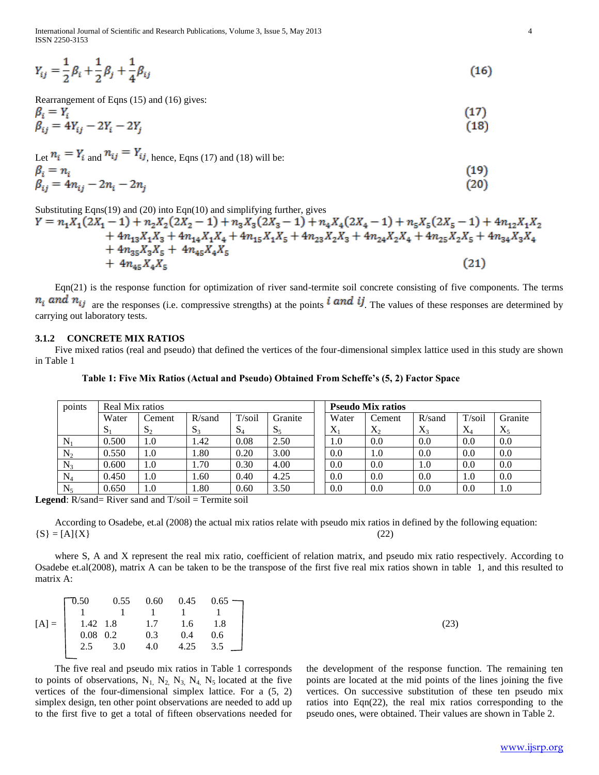International Journal of Scientific and Research Publications, Volume 3, Issue 5, May 2013 4 ISSN 2250-3153

$$
Y_{ij} = \frac{1}{2}\beta_i + \frac{1}{2}\beta_j + \frac{1}{4}\beta_{ij}
$$
\n(16)

Rearrangement of Eqns (15) and (16) gives:

$$
\beta_i = Y_i
$$
  
\n
$$
\beta_{ij} = 4Y_{ij} - 2Y_i - 2Y_j
$$
\n(17)

Let  $n_i = Y_i$  and  $n_{ij} = Y_{ij}$ , hence, Eqns (17) and (18) will be:  $R = n$ 

$$
\beta_{ij} = 4n_{ij} - 2n_i - 2n_j \tag{20}
$$

Substituting Eqns(19) and (20) into Eqn(10) and simplifying further, gives

$$
Y = n_1 X_1 (2X_1 - 1) + n_2 X_2 (2X_2 - 1) + n_3 X_3 (2X_3 - 1) + n_4 X_4 (2X_4 - 1) + n_5 X_5 (2X_5 - 1) + 4n_{12} X_1 X_2
$$
  
+ 4n<sub>13</sub>X<sub>1</sub>X<sub>3</sub> + 4n<sub>14</sub>X<sub>1</sub>X<sub>4</sub> + 4n<sub>15</sub>X<sub>1</sub>X<sub>5</sub> + 4n<sub>23</sub>X<sub>2</sub>X<sub>3</sub> + 4n<sub>24</sub>X<sub>2</sub>X<sub>4</sub> + 4n<sub>25</sub>X<sub>2</sub>X<sub>5</sub> + 4n<sub>34</sub>X<sub>3</sub>X<sub>4</sub>  
+ 4n<sub>35</sub>X<sub>3</sub>X<sub>5</sub> + 4n<sub>45</sub>X<sub>4</sub>X<sub>5</sub> (21)

 Eqn(21) is the response function for optimization of river sand-termite soil concrete consisting of five components. The terms  $n_i$  and  $n_{ij}$  are the responses (i.e. compressive strengths) at the points **i** and **i***j*. The values of these responses are determined by carrying out laboratory tests.

## **3.1.2 CONCRETE MIX RATIOS**

 Five mixed ratios (real and pseudo) that defined the vertices of the four-dimensional simplex lattice used in this study are shown in Table 1

| points    | Real Mix ratios |        |              |        |              |           | <b>Pseudo Mix ratios</b> |           |           |           |
|-----------|-----------------|--------|--------------|--------|--------------|-----------|--------------------------|-----------|-----------|-----------|
|           | Water           | Cement | $R/s$ and    | T/soi1 | Granite      | Water     | Cement                   | $R$ /sand | $T/s$ oil | Granite   |
|           | Ю.              | ده.    | $\mathbf{D}$ | $S_4$  | $\mathbf{D}$ | $\Lambda$ | $X_{2}$                  | $X_{3}$   | $X_4$     | $\Lambda$ |
| N.        | 0.500           | 1.0    | l.42         | 0.08   | 2.50         | 1.0       | 0.0                      | 0.0       | 0.0       | 0.0       |
| $\rm N_2$ | 0.550           | 1.0    | 0.80         | 0.20   | 3.00         | 0.0       | 1.0                      | 0.0       | 0.0       | 0.0       |
| $N_3$     | 0.600           | 1.0    | . 70         | 0.30   | 4.00         | 0.0       | 0.0                      | 1.0       | 0.0       | 0.0       |
| $\rm N_4$ | 0.450           | 1.0    | .60          | 0.40   | 4.25         | 0.0       | 0.0                      | 0.0       | 1.0       | 0.0       |
| $\rm N_5$ | 0.650           | 1.0    | .80          | 0.60   | 3.50         | 0.0       | 0.0                      | 0.0       | 0.0       | $1.0\,$   |

**Legend**: R/sand= River sand and T/soil = Termite soil

 According to Osadebe, et.al (2008) the actual mix ratios relate with pseudo mix ratios in defined by the following equation:  ${S} = [A]{X}$  (22)

where S, A and X represent the real mix ratio, coefficient of relation matrix, and pseudo mix ratio respectively. According to Osadebe et.al(2008), matrix A can be taken to be the transpose of the first five real mix ratios shown in table 1, and this resulted to matrix A:

|  |  | $[A] = \begin{bmatrix} 0.50 & 0.55 & 0.60 & 0.45 & 0.65 \\ 1 & 1 & 1 & 1 & 1 \\ 1.42 & 1.8 & 1.7 & 1.6 & 1.8 \\ 0.08 & 0.2 & 0.3 & 0.4 & 0.6 \\ 2.5 & 3.0 & 4.0 & 4.25 & 3.5 \end{bmatrix}$ |
|--|--|---------------------------------------------------------------------------------------------------------------------------------------------------------------------------------------------|
|  |  |                                                                                                                                                                                             |
|  |  |                                                                                                                                                                                             |
|  |  |                                                                                                                                                                                             |

 The five real and pseudo mix ratios in Table 1 corresponds to points of observations,  $N_1$ ,  $N_2$ ,  $N_3$ ,  $N_4$ ,  $N_5$  located at the five vertices of the four-dimensional simplex lattice. For a (5, 2) simplex design, ten other point observations are needed to add up to the first five to get a total of fifteen observations needed for the development of the response function. The remaining ten points are located at the mid points of the lines joining the five vertices. On successive substitution of these ten pseudo mix ratios into Eqn(22), the real mix ratios corresponding to the pseudo ones, were obtained. Their values are shown in Table 2.

 $(19)$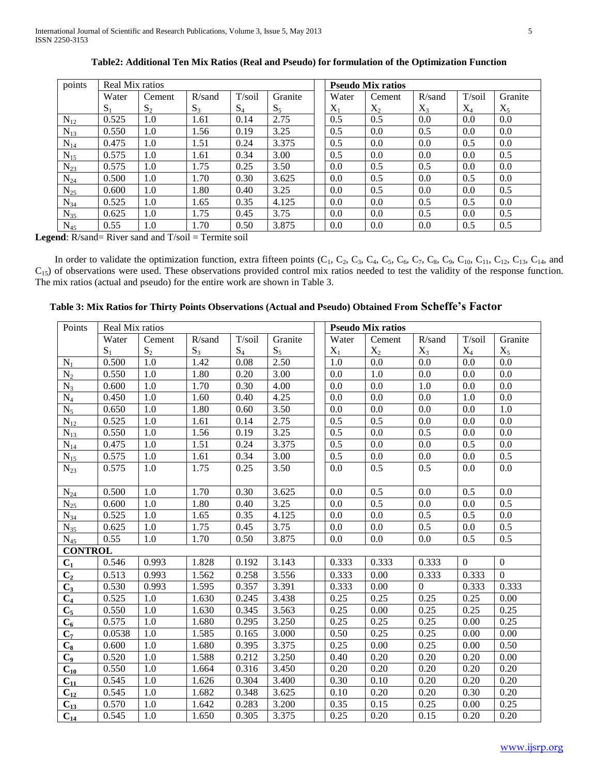| points            | Real Mix ratios |         |           |        |         |       | <b>Pseudo Mix ratios</b> |           |           |         |
|-------------------|-----------------|---------|-----------|--------|---------|-------|--------------------------|-----------|-----------|---------|
|                   | Water           | Cement  | $R/s$ and | T/soil | Granite | Water | Cement                   | $R$ /sand | $T/s$ oil | Granite |
|                   | $S_1$           | $S_2$   | $S_3$     | $S_4$  | $S_5$   | $X_1$ | $X_2$                    | $X_3$     | $\rm X_4$ | $X_5$   |
| $N_{12}$          | 0.525           | 1.0     | 1.61      | 0.14   | 2.75    | 0.5   | 0.5                      | 0.0       | 0.0       | 0.0     |
| $N_{13}$          | 0.550           | 1.0     | 1.56      | 0.19   | 3.25    | 0.5   | 0.0                      | 0.5       | 0.0       | 0.0     |
| $\mathrm{N_{14}}$ | 0.475           | $1.0\,$ | 1.51      | 0.24   | 3.375   | 0.5   | 0.0                      | 0.0       | 0.5       | 0.0     |
| $N_{15}$          | 0.575           | $1.0\,$ | 1.61      | 0.34   | 3.00    | 0.5   | 0.0                      | 0.0       | 0.0       | 0.5     |
| $N_{23}$          | 0.575           | 1.0     | 1.75      | 0.25   | 3.50    | 0.0   | 0.5                      | 0.5       | 0.0       | 0.0     |
| $N_{24}$          | 0.500           | $1.0\,$ | 1.70      | 0.30   | 3.625   | 0.0   | 0.5                      | 0.0       | 0.5       | 0.0     |
| $N_{25}$          | 0.600           | 1.0     | 1.80      | 0.40   | 3.25    | 0.0   | 0.5                      | 0.0       | 0.0       | 0.5     |
| $N_{34}$          | 0.525           | $1.0\,$ | 1.65      | 0.35   | 4.125   | 0.0   | 0.0                      | 0.5       | 0.5       | 0.0     |
| $N_{35}$          | 0.625           | $1.0\,$ | 1.75      | 0.45   | 3.75    | 0.0   | 0.0                      | 0.5       | 0.0       | 0.5     |
| $N_{45}$          | 0.55            | 1.0     | 1.70      | 0.50   | 3.875   | 0.0   | 0.0                      | 0.0       | 0.5       | 0.5     |

**Table2: Additional Ten Mix Ratios (Real and Pseudo) for formulation of the Optimization Function**

Legend: R/sand= River sand and T/soil = Termite soil

In order to validate the optimization function, extra fifteen points  $(C_1, C_2, C_3, C_4, C_5, C_6, C_7, C_8, C_9, C_{10}, C_{11}, C_{12}, C_{13}, C_{14}$ , and  $C_{15}$ ) of observations were used. These observations provided control mix ratios needed to test the validity of the response function. The mix ratios (actual and pseudo) for the entire work are shown in Table 3.

**Table 3: Mix Ratios for Thirty Points Observations (Actual and Pseudo) Obtained From Scheffe's Factor** 

| Points           | Real Mix ratios |        |        |        |         |       |       | <b>Pseudo Mix ratios</b> |                  |          |                  |
|------------------|-----------------|--------|--------|--------|---------|-------|-------|--------------------------|------------------|----------|------------------|
|                  | Water           | Cement | R/sand | T/soil | Granite |       | Water | Cement                   | R/sand           | T/soil   | Granite          |
|                  | $S_1$           | $S_2$  | $S_3$  | $S_4$  | $S_5$   | $X_1$ |       | $X_2$                    | $X_3$            | $X_4$    | $X_5$            |
| $N_1$            | 0.500           | 1.0    | 1.42   | 0.08   | 2.50    | 1.0   |       | 0.0                      | 0.0              | 0.0      | 0.0              |
| $N_2$            | 0.550           | 1.0    | 1.80   | 0.20   | 3.00    | 0.0   |       | 1.0                      | 0.0              | 0.0      | 0.0              |
| $N_3$            | 0.600           | 1.0    | 1.70   | 0.30   | 4.00    | 0.0   |       | 0.0                      | 1.0              | 0.0      | $\overline{0.0}$ |
| $N_4$            | 0.450           | 1.0    | 1.60   | 0.40   | 4.25    | 0.0   |       | 0.0                      | 0.0              | 1.0      | 0.0              |
| $N_5$            | 0.650           | 1.0    | 1.80   | 0.60   | 3.50    | 0.0   |       | 0.0                      | 0.0              | 0.0      | 1.0              |
| $N_{12}$         | 0.525           | 1.0    | 1.61   | 0.14   | 2.75    | 0.5   |       | 0.5                      | 0.0              | 0.0      | 0.0              |
| $N_{13}$         | 0.550           | 1.0    | 1.56   | 0.19   | 3.25    | 0.5   |       | 0.0                      | 0.5              | 0.0      | 0.0              |
| $\rm N_{14}$     | 0.475           | 1.0    | 1.51   | 0.24   | 3.375   | 0.5   |       | 0.0                      | 0.0              | 0.5      | 0.0              |
| $N_{15}$         | 0.575           | 1.0    | 1.61   | 0.34   | 3.00    | 0.5   |       | 0.0                      | 0.0              | 0.0      | 0.5              |
| $N_{23}$         | 0.575           | 1.0    | 1.75   | 0.25   | 3.50    | 0.0   |       | 0.5                      | 0.5              | 0.0      | 0.0              |
|                  |                 |        |        |        |         |       |       |                          |                  |          |                  |
| $N_{24}$         | 0.500           | 1.0    | 1.70   | 0.30   | 3.625   | 0.0   |       | 0.5                      | 0.0              | 0.5      | 0.0              |
| $N_{25}$         | 0.600           | 1.0    | 1.80   | 0.40   | 3.25    | 0.0   |       | 0.5                      | 0.0              | 0.0      | 0.5              |
| $N_{34}$         | 0.525           | 1.0    | 1.65   | 0.35   | 4.125   | 0.0   |       | 0.0                      | 0.5              | 0.5      | 0.0              |
| $N_{35}$         | 0.625           | 1.0    | 1.75   | 0.45   | 3.75    | 0.0   |       | 0.0                      | 0.5              | 0.0      | 0.5              |
| $N_{45}$         | 0.55            | 1.0    | 1.70   | 0.50   | 3.875   | 0.0   |       | $0.0\,$                  | 0.0              | 0.5      | 0.5              |
| <b>CONTROL</b>   |                 |        |        |        |         |       |       |                          |                  |          |                  |
| $C_1$            | 0.546           | 0.993  | 1.828  | 0.192  | 3.143   |       | 0.333 | 0.333                    | 0.333            | $\Omega$ | $\overline{0}$   |
| C <sub>2</sub>   | 0.513           | 0.993  | 1.562  | 0.258  | 3.556   |       | 0.333 | 0.00                     | 0.333            | 0.333    | $\overline{0}$   |
| $C_3$            | 0.530           | 0.993  | 1.595  | 0.357  | 3.391   |       | 0.333 | 0.00                     | $\boldsymbol{0}$ | 0.333    | 0.333            |
| C <sub>4</sub>   | 0.525           | 1.0    | 1.630  | 0.245  | 3.438   | 0.25  |       | 0.25                     | 0.25             | 0.25     | 0.00             |
| $C_5$            | 0.550           | 1.0    | 1.630  | 0.345  | 3.563   | 0.25  |       | 0.00                     | 0.25             | 0.25     | 0.25             |
| $\overline{C_6}$ | 0.575           | 1.0    | 1.680  | 0.295  | 3.250   | 0.25  |       | 0.25                     | 0.25             | 0.00     | 0.25             |
| $C_7$            | 0.0538          | 1.0    | 1.585  | 0.165  | 3.000   | 0.50  |       | 0.25                     | 0.25             | 0.00     | 0.00             |
| $C_8$            | 0.600           | 1.0    | 1.680  | 0.395  | 3.375   | 0.25  |       | 0.00                     | 0.25             | 0.00     | 0.50             |
| $C_9$            | 0.520           | 1.0    | 1.588  | 0.212  | 3.250   | 0.40  |       | 0.20                     | 0.20             | 0.20     | 0.00             |
| $C_{10}$         | 0.550           | 1.0    | 1.664  | 0.316  | 3.450   | 0.20  |       | 0.20                     | 0.20             | 0.20     | 0.20             |
| $C_{11}$         | 0.545           | 1.0    | 1.626  | 0.304  | 3.400   | 0.30  |       | 0.10                     | 0.20             | 0.20     | 0.20             |
| $C_{12}$         | 0.545           | 1.0    | 1.682  | 0.348  | 3.625   | 0.10  |       | 0.20                     | 0.20             | 0.30     | 0.20             |
| $C_{13}$         | 0.570           | 1.0    | 1.642  | 0.283  | 3.200   | 0.35  |       | 0.15                     | 0.25             | 0.00     | 0.25             |
| $C_{14}$         | 0.545           | 1.0    | 1.650  | 0.305  | 3.375   | 0.25  |       | 0.20                     | 0.15             | 0.20     | 0.20             |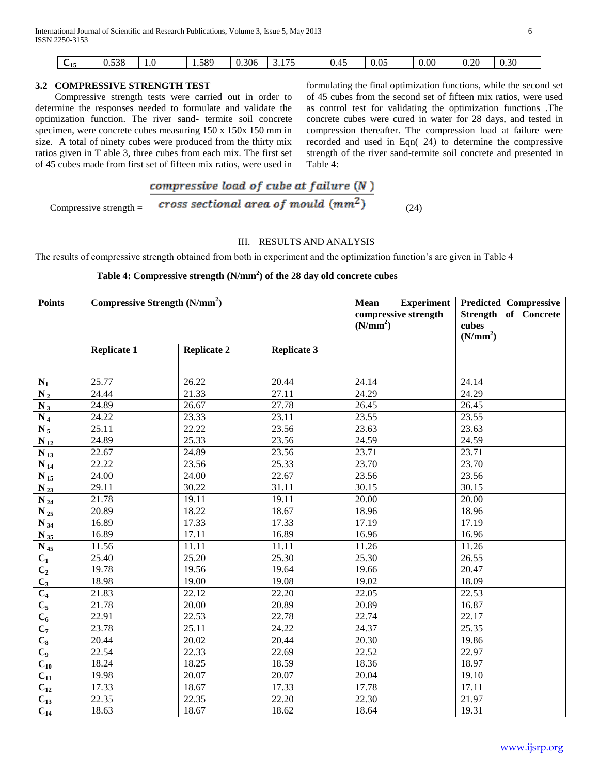| $U_{15}$ | 520<br>U.JJ0 | .0<br>___ | 1.589<br>. | 0.306 | $ -$<br><u>.</u><br>. | $\overline{A}$<br>0.45 | 0.05 | 0.00 | 0.20<br>the contract of the contract of the con- | 0.30 |  |
|----------|--------------|-----------|------------|-------|-----------------------|------------------------|------|------|--------------------------------------------------|------|--|
|          |              |           |            |       |                       |                        |      |      |                                                  |      |  |

# **3.2 COMPRESSIVE STRENGTH TEST**

 Compressive strength tests were carried out in order to determine the responses needed to formulate and validate the optimization function. The river sand- termite soil concrete specimen, were concrete cubes measuring 150 x 150x 150 mm in size. A total of ninety cubes were produced from the thirty mix ratios given in T able 3, three cubes from each mix. The first set of 45 cubes made from first set of fifteen mix ratios, were used in

formulating the final optimization functions, while the second set of 45 cubes from the second set of fifteen mix ratios, were used as control test for validating the optimization functions .The concrete cubes were cured in water for 28 days, and tested in compression thereafter. The compression load at failure were recorded and used in Eqn( 24) to determine the compressive strength of the river sand-termite soil concrete and presented in Table 4:

$$
Compressive strength = \frac{compressive load of cube at failure (N)}{cross sectional area of mould (mm2)}
$$
 (24)

## III. RESULTS AND ANALYSIS

The results of compressive strength obtained from both in experiment and the optimization function's are given in Table 4

# **Table 4: Compressive strength (N/mm<sup>2</sup> ) of the 28 day old concrete cubes**

| <b>Points</b>       | Compressive Strength $(N/mm2)$ |                    |               | <b>Mean</b><br><b>Experiment</b><br>compressive strength<br>(N/mm <sup>2</sup> ) | <b>Predicted Compressive</b><br><b>Strength of Concrete</b><br>cubes<br>(N/mm <sup>2</sup> ) |  |  |
|---------------------|--------------------------------|--------------------|---------------|----------------------------------------------------------------------------------|----------------------------------------------------------------------------------------------|--|--|
|                     | <b>Replicate 1</b>             | <b>Replicate 2</b> | Replicate $3$ |                                                                                  |                                                                                              |  |  |
|                     |                                |                    |               |                                                                                  |                                                                                              |  |  |
| $N_1$               | 25.77                          | 26.22              | 20.44         | 24.14                                                                            | 24.14                                                                                        |  |  |
| $N_2$               | 24.44                          | 21.33              | 27.11         | 24.29                                                                            | 24.29                                                                                        |  |  |
| $N_3$               | 24.89                          | 26.67              | 27.78         | 26.45                                                                            | 26.45                                                                                        |  |  |
| $N_4$               | 24.22                          | 23.33              | 23.11         | 23.55                                                                            | 23.55                                                                                        |  |  |
| $N_5$               | 25.11                          | 22.22              | 23.56         | 23.63                                                                            | 23.63                                                                                        |  |  |
| $\overline{N}_{12}$ | 24.89                          | 25.33              | 23.56         | 24.59                                                                            | 24.59                                                                                        |  |  |
| $N_{13}$            | 22.67                          | 24.89              | 23.56         | 23.71                                                                            | 23.71                                                                                        |  |  |
| $N_{14}$            | 22.22                          | 23.56              | 25.33         | $\overline{23.70}$                                                               | 23.70                                                                                        |  |  |
| $N_{15}$            | 24.00                          | 24.00              | 22.67         | 23.56                                                                            | 23.56                                                                                        |  |  |
| $N_{23}$            | 29.11                          | $\overline{30.22}$ | 31.11         | 30.15                                                                            | 30.15                                                                                        |  |  |
| $N_{24}$            | 21.78                          | 19.11              | 19.11         | 20.00                                                                            | 20.00                                                                                        |  |  |
| $N_{25}$            | 20.89                          | 18.22              | 18.67         | 18.96                                                                            | 18.96                                                                                        |  |  |
| $N_{34}$            | 16.89                          | 17.33              | 17.33         | 17.19                                                                            | 17.19                                                                                        |  |  |
| $N_{35}$            | 16.89                          | 17.11              | 16.89         | 16.96                                                                            | 16.96                                                                                        |  |  |
| N 45                | 11.56                          | 11.11              | 11.11         | 11.26                                                                            | 11.26                                                                                        |  |  |
| $C_1$               | 25.40                          | 25.20              | 25.30         | 25.30                                                                            | 26.55                                                                                        |  |  |
| $\overline{C_2}$    | 19.78                          | 19.56              | 19.64         | 19.66                                                                            | 20.47                                                                                        |  |  |
| $\overline{C_3}$    | 18.98                          | 19.00              | 19.08         | 19.02                                                                            | 18.09                                                                                        |  |  |
| $\overline{C_4}$    | 21.83                          | 22.12              | 22.20         | 22.05                                                                            | 22.53                                                                                        |  |  |
| $C_5$               | 21.78                          | 20.00              | 20.89         | 20.89                                                                            | 16.87                                                                                        |  |  |
| $\overline{C_6}$    | 22.91                          | 22.53              | 22.78         | 22.74                                                                            | 22.17                                                                                        |  |  |
| $\overline{C_7}$    | 23.78                          | 25.11              | 24.22         | 24.37                                                                            | 25.35                                                                                        |  |  |
| $C_8$               | 20.44                          | 20.02              | 20.44         | 20.30                                                                            | 19.86                                                                                        |  |  |
| $C_9$               | 22.54                          | 22.33              | 22.69         | 22.52                                                                            | 22.97                                                                                        |  |  |
| $\overline{C_{10}}$ | 18.24                          | 18.25              | 18.59         | 18.36                                                                            | 18.97                                                                                        |  |  |
| $\overline{C_{11}}$ | 19.98                          | 20.07              | 20.07         | 20.04                                                                            | 19.10                                                                                        |  |  |
| $\overline{C_{12}}$ | 17.33                          | 18.67              | 17.33         | 17.78                                                                            | 17.11                                                                                        |  |  |
| $C_{13}$            | 22.35                          | 22.35              | 22.20         | 22.30                                                                            | 21.97                                                                                        |  |  |
| $C_{14}$            | 18.63                          | 18.67              | 18.62         | 18.64                                                                            | 19.31                                                                                        |  |  |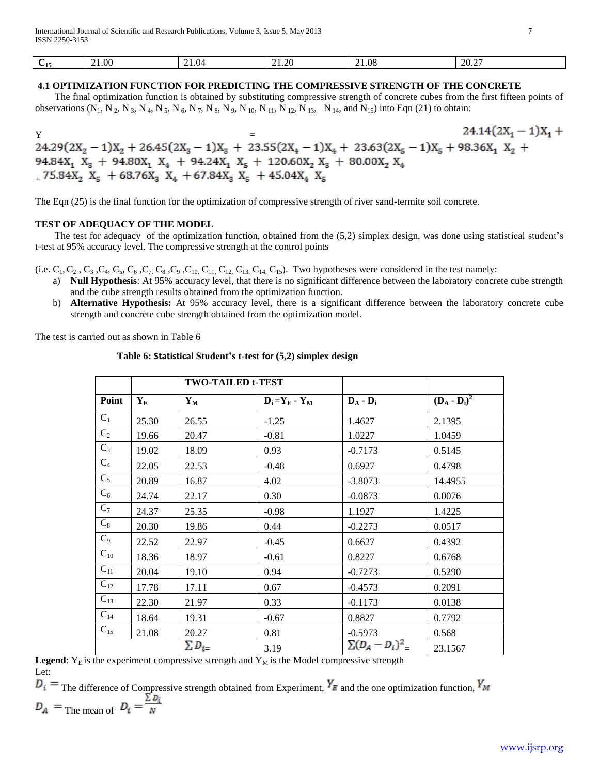| '15 | 0.1.00 | 21.04<br>$\sim$ $\sim$ | ററ<br>0 - ئە | 21.08<br>. | 20.27 |
|-----|--------|------------------------|--------------|------------|-------|
|     |        |                        |              |            |       |

## **4.1 OPTIMIZATION FUNCTION FOR PREDICTING THE COMPRESSIVE STRENGTH OF THE CONCRETE**

 The final optimization function is obtained by substituting compressive strength of concrete cubes from the first fifteen points of observations  $(N_1, N_2, N_3, N_4, N_5, N_6, N_7, N_8, N_9, N_{10}, N_{11}, N_{12}, N_{13}, N_{14}$ , and  $N_{15}$ ) into Eqn (21) to obtain:

 $24.14(2X_1 - 1)X_1 +$  $Y = 24.29(2X_2 - 1)X_2 + 26.45(2X_3 - 1)X_3 + 23.55(2X_4 - 1)X_4 + 23.63(2X_5 - 1)X_5 + 98.36X_1 X_2 +$  $\begin{array}{r}94.84X_1\ \ X_3\ +\ 94.80X_1\ \ X_4\ +\ 94.24X_1\ \ X_5\ +\ 120.60X_2\ \ X_3\ +\ 80.00X_2\ \ X_4\ +\ 75.84X_2\ \ X_5\ +\ 68.76X_3\ \ X_4\ +\ 67.84X_3\ \ X_5\ +\ 45.04X_4\ \ X_5\ \ \end{array}$ 

The Eqn (25) is the final function for the optimization of compressive strength of river sand-termite soil concrete.

## **TEST OF ADEQUACY OF THE MODEL**

**The test for adequacy of the optimization function, obtained from the (5,2) simplex design, was done using statistical student's** t-test at 95% accuracy level. The compressive strength at the control points

(i.e.  $C_1, C_2, C_3, C_4, C_5, C_6, C_7, C_8, C_9, C_{10}, C_{11}, C_{12}, C_{13}, C_{14}, C_{15}$ ). Two hypotheses were considered in the test namely:

- L<sub>1</sub>, C<sub>2</sub>, C<sub>3</sub>, C<sub>4</sub>, C<sub>5</sub>, C<sub>6</sub>, C<sub>7</sub>, C<sub>8</sub>, C<sub>9</sub>, C<sub>10</sub>, C<sub>11</sub>, C<sub>12</sub>, C<sub>13</sub>, C<sub>14</sub>, C<sub>15</sub>, L<sub>16</sub>, C<sub>15</sub>, L<sub>16</sub>, C<sub>15</sub>, L<sub>16</sub>, C<sub>14</sub>, C<sub>15</sub>, C<sub>14</sub>, C<sub>15</sub>, C<sub>8</sub>, C<sub>9</sub>, C<sub>9</sub>, C<sub>10</sub>, C<sub>11</sub>, C<sub>12</sub>, C<sub>13</sub>, C<sub>14</sub>, C<sub>15</sub>, L<sub>1</sub> and the cube strength results obtained from the optimization function.
- **stre** b) **Alternative Hypothesis:** At 95% accuracy level, there is a significant difference between the laboratory concrete cube strength and concrete cube strength obtained from the optimization model.

The test is carried out as shown in Table 6

**Table 6: Statistical Student's t-test for (5,2) simplex design**

|          |                   | <b>TWO-TAILED t-TEST</b> |                   |                      |                 |
|----------|-------------------|--------------------------|-------------------|----------------------|-----------------|
| Point    | ${\bf Y}_{\bf E}$ | $Y_M$                    | $D_i = Y_E - Y_M$ | $D_A - D_i$          | $(D_A - D_i)^2$ |
| $C_1$    | 25.30             | 26.55                    | $-1.25$           | 1.4627               | 2.1395          |
| $C_2$    | 19.66             | 20.47                    | $-0.81$           | 1.0227               | 1.0459          |
| $C_3$    | 19.02             | 18.09                    | 0.93              | $-0.7173$            | 0.5145          |
| $C_4$    | 22.05             | 22.53                    | $-0.48$           | 0.6927               | 0.4798          |
| $C_5$    | 20.89             | 16.87                    | 4.02              | $-3.8073$            | 14.4955         |
| $C_6$    | 24.74             | 22.17                    | 0.30              | $-0.0873$            | 0.0076          |
| $C_7$    | 24.37             | 25.35                    | $-0.98$           | 1.1927               | 1.4225          |
| $C_8$    | 20.30             | 19.86                    | 0.44              | $-0.2273$            | 0.0517          |
| $C_9$    | 22.52             | 22.97                    | $-0.45$           | 0.6627               | 0.4392          |
| $C_{10}$ | 18.36             | 18.97                    | $-0.61$           | 0.8227               | 0.6768          |
| $C_{11}$ | 20.04             | 19.10                    | 0.94              | $-0.7273$            | 0.5290          |
| $C_{12}$ | 17.78             | 17.11                    | 0.67              | $-0.4573$            | 0.2091          |
| $C_{13}$ | 22.30             | 21.97                    | 0.33              | $-0.1173$            | 0.0138          |
| $C_{14}$ | 18.64             | 19.31                    | $-0.67$           | 0.8827               | 0.7792          |
| $C_{15}$ | 21.08             | 20.27                    | 0.81              | $-0.5973$            | 0.568           |
|          |                   | $\sum D_{i=1}$           | 3.19              | $\sum (D_A - D_i)^2$ | 23.1567         |

**Legend**:  $Y_E$  is the experiment compressive strength and  $Y_M$  is the Model compressive strength Let:

 $D_i$  = The difference of Compressive strength obtained from Experiment,  $Y_E$  and the one optimization function,  $Y_M$  $D_A$  = The mean of  $D_i = \frac{\sum D_i}{N}$